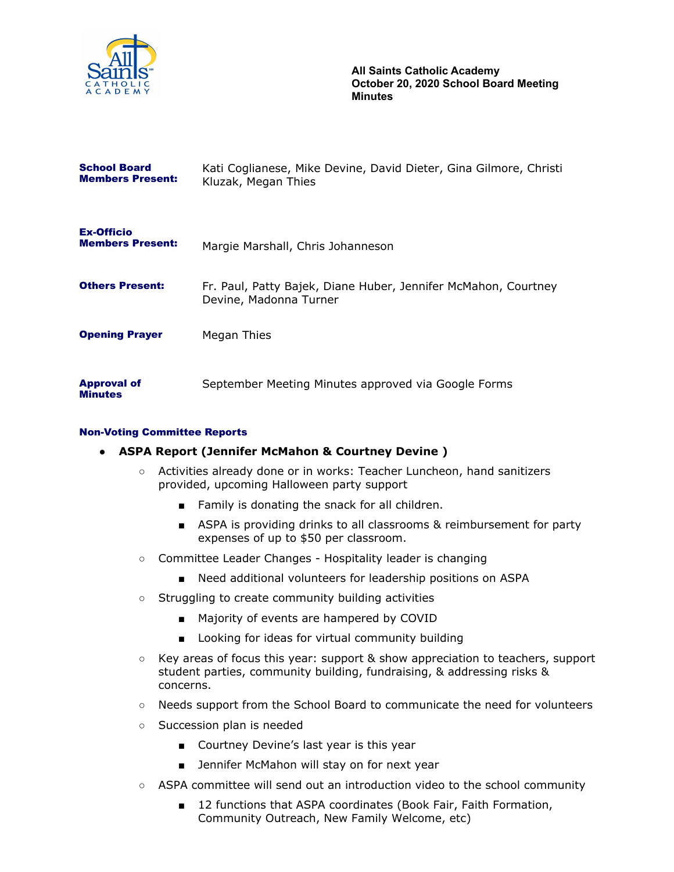

**All Saints Catholic Academy October 20, 2020 School Board Meeting Minutes**

| <b>School Board</b><br><b>Members Present:</b> | Kati Coglianese, Mike Devine, David Dieter, Gina Gilmore, Christi<br>Kluzak, Megan Thies |
|------------------------------------------------|------------------------------------------------------------------------------------------|
| <b>Ex-Officio</b><br><b>Members Present:</b>   | Margie Marshall, Chris Johanneson                                                        |
| <b>Others Present:</b>                         | Fr. Paul, Patty Bajek, Diane Huber, Jennifer McMahon, Courtney<br>Devine, Madonna Turner |
| <b>Opening Prayer</b>                          | Megan Thies                                                                              |
| <b>Approval of</b><br><b>Minutes</b>           | September Meeting Minutes approved via Google Forms                                      |

### Non-Voting Committee Reports

- **● ASPA Report (Jennifer McMahon & Courtney Devine )**
	- Activities already done or in works: Teacher Luncheon, hand sanitizers provided, upcoming Halloween party support
		- Family is donating the snack for all children.
		- ASPA is providing drinks to all classrooms & reimbursement for party expenses of up to \$50 per classroom.
	- Committee Leader Changes Hospitality leader is changing
		- Need additional volunteers for leadership positions on ASPA
	- Struggling to create community building activities
		- Majority of events are hampered by COVID
		- Looking for ideas for virtual community building
	- Key areas of focus this year: support & show appreciation to teachers, support student parties, community building, fundraising, & addressing risks & concerns.
	- Needs support from the School Board to communicate the need for volunteers
	- Succession plan is needed
		- Courtney Devine's last year is this year
		- Jennifer McMahon will stay on for next year
	- ASPA committee will send out an introduction video to the school community
		- 12 functions that ASPA coordinates (Book Fair, Faith Formation, Community Outreach, New Family Welcome, etc)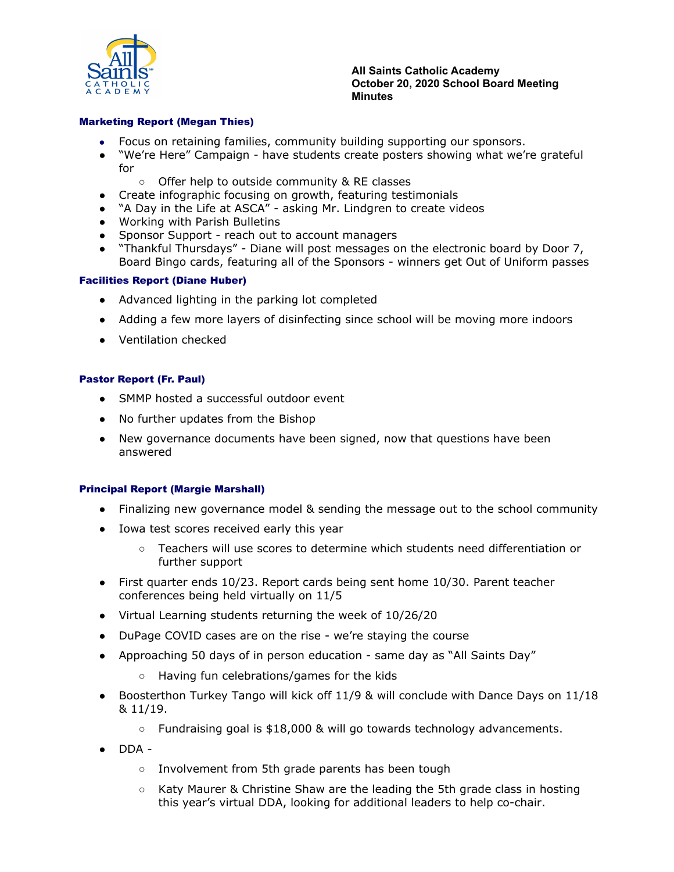

#### **All Saints Catholic Academy October 20, 2020 School Board Meeting Minutes**

## Marketing Report (Megan Thies)

- Focus on retaining families, community building supporting our sponsors.
- "We're Here" Campaign have students create posters showing what we're grateful for
	- Offer help to outside community & RE classes
- Create infographic focusing on growth, featuring testimonials
- "A Day in the Life at ASCA" asking Mr. Lindgren to create videos
- Working with Parish Bulletins
- Sponsor Support reach out to account managers
- "Thankful Thursdays" Diane will post messages on the electronic board by Door 7, Board Bingo cards, featuring all of the Sponsors - winners get Out of Uniform passes

### Facilities Report (Diane Huber)

- Advanced lighting in the parking lot completed
- Adding a few more layers of disinfecting since school will be moving more indoors
- Ventilation checked

### Pastor Report (Fr. Paul)

- SMMP hosted a successful outdoor event
- No further updates from the Bishop
- New governance documents have been signed, now that questions have been answered

### Principal Report (Margie Marshall)

- Finalizing new governance model & sending the message out to the school community
- Iowa test scores received early this year
	- Teachers will use scores to determine which students need differentiation or further support
- First quarter ends 10/23. Report cards being sent home 10/30. Parent teacher conferences being held virtually on 11/5
- Virtual Learning students returning the week of 10/26/20
- DuPage COVID cases are on the rise we're staying the course
- Approaching 50 days of in person education same day as "All Saints Day"
	- Having fun celebrations/games for the kids
- Boosterthon Turkey Tango will kick off 11/9 & will conclude with Dance Days on 11/18 & 11/19.
	- $\circ$  Fundraising goal is \$18,000 & will go towards technology advancements.
- $\bullet$  DDA -
	- Involvement from 5th grade parents has been tough
	- Katy Maurer & Christine Shaw are the leading the 5th grade class in hosting this year's virtual DDA, looking for additional leaders to help co-chair.